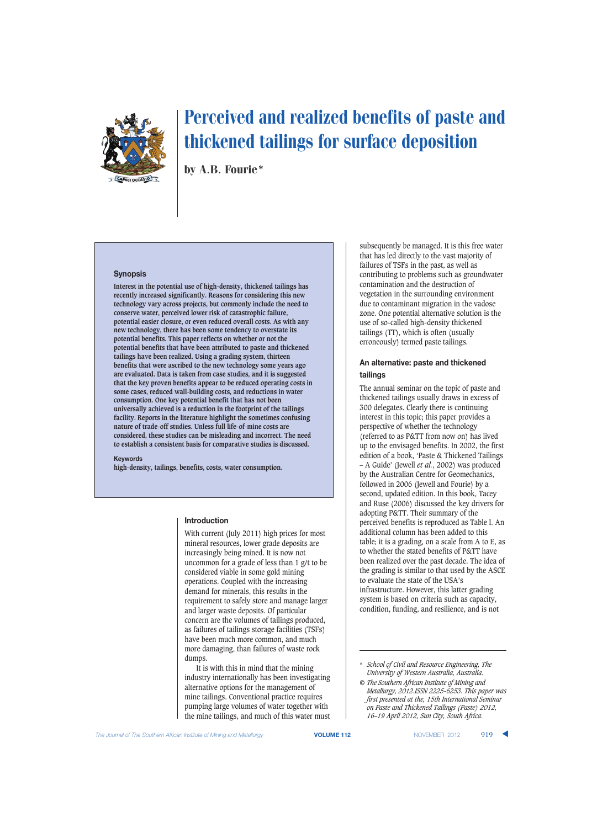

by A.B. Fourie\*

## **Synopsis**

**Interest in the potential use of high-density, thickened tailings has recently increased significantly. Reasons for considering this new technology vary across projects, but commonly include the need to conserve water, perceived lower risk of catastrophic failure, potential easier closure, or even reduced overall costs. As with any new technology, there has been some tendency to overstate its potential benefits. This paper reflects on whether or not the potential benefits that have been attributed to paste and thickened tailings have been realized. Using a grading system, thirteen benefits that were ascribed to the new technology some years ago are evaluated. Data is taken from case studies, and it is suggested that the key proven benefits appear to be reduced operating costs in some cases, reduced wall-building costs, and reductions in water consumption. One key potential benefit that has not been universally achieved is a reduction in the footprint of the tailings facility. Reports in the literature highlight the sometimes confusing nature of trade-off studies. Unless full life-of-mine costs are considered, these studies can be misleading and incorrect. The need to establish a consistent basis for comparative studies is discussed.**

#### **Keywords**

**high-density, tailings, benefits, costs, water consumption.**

#### **Introduction**

With current (July 2011) high prices for most mineral resources, lower grade deposits are increasingly being mined. It is now not uncommon for a grade of less than 1 g/t to be considered viable in some gold mining operations. Coupled with the increasing demand for minerals, this results in the requirement to safely store and manage larger and larger waste deposits. Of particular concern are the volumes of tailings produced, as failures of tailings storage facilities (TSFs) have been much more common, and much more damaging, than failures of waste rock dumps.

It is with this in mind that the mining industry internationally has been investigating alternative options for the management of mine tailings. Conventional practice requires pumping large volumes of water together with the mine tailings, and much of this water must

subsequently be managed. It is this free water that has led directly to the vast majority of failures of TSFs in the past, as well as contributing to problems such as groundwater contamination and the destruction of vegetation in the surrounding environment due to contaminant migration in the vadose zone. One potential alternative solution is the use of so-called high-density thickened tailings (TT), which is often (usually erroneously) termed paste tailings.

## **An alternative: paste and thickened tailings**

The annual seminar on the topic of paste and thickened tailings usually draws in excess of 300 delegates. Clearly there is continuing interest in this topic; this paper provides a perspective of whether the technology (referred to as P&TT from now on) has lived up to the envisaged benefits. In 2002, the first edition of a book, 'Paste & Thickened Tailings – A Guide' (Jewell *et al.*, 2002) was produced by the Australian Centre for Geomechanics, followed in 2006 (Jewell and Fourie) by a second, updated edition. In this book, Tacey and Ruse (2006) discussed the key drivers for adopting P&TT. Their summary of the perceived benefits is reproduced as Table I. An additional column has been added to this table; it is a grading, on a scale from A to E, as to whether the stated benefits of P&TT have been realized over the past decade. The idea of the grading is similar to that used by the ASCE to evaluate the state of the USA's infrastructure. However, this latter grading system is based on criteria such as capacity, condition, funding, and resilience, and is not

<sup>\*</sup> *School of Civil and Resource Engineering, The University of Western Australia, Australia.*

*<sup>©</sup> The Southern African Institute of Mining and Metallurgy, 2012.ISSN 2225-6253. This paper was first presented at the, 15th International Seminar on Paste and Thickened Tailings (Paste) 2012, 16–19 April 2012, Sun City, South Africa.*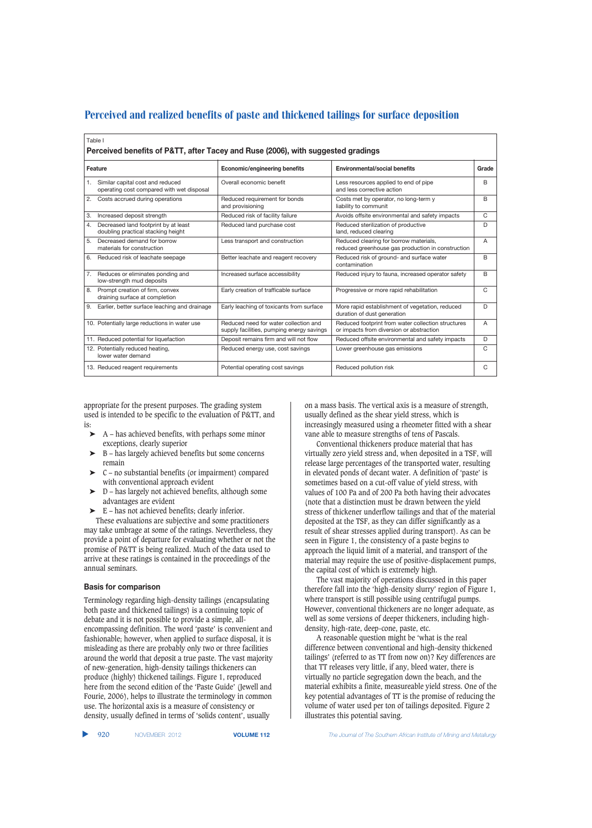| Table I<br>Perceived benefits of P&TT, after Tacey and Ruse (2006), with suggested gradings |                                                                                    |                                                                                                |   |
|---------------------------------------------------------------------------------------------|------------------------------------------------------------------------------------|------------------------------------------------------------------------------------------------|---|
|                                                                                             |                                                                                    |                                                                                                |   |
| Similar capital cost and reduced<br>1.<br>operating cost compared with wet disposal         | Overall economic benefit                                                           | Less resources applied to end of pipe<br>and less corrective action                            | B |
| Costs accrued during operations<br>2.                                                       | Reduced requirement for bonds<br>and provisioning                                  | Costs met by operator, no long-term y<br>liability to communit                                 | B |
| Increased deposit strength<br>3.                                                            | Reduced risk of facility failure                                                   | Avoids offsite environmental and safety impacts                                                | C |
| Decreased land footprint by at least<br>4.<br>doubling practical stacking height            | Reduced land purchase cost                                                         | Reduced sterilization of productive<br>land, reduced clearing                                  | D |
| 5.<br>Decreased demand for borrow<br>materials for construction                             | Less transport and construction                                                    | Reduced clearing for borrow materials,<br>reduced greenhouse gas production in construction    | A |
| Reduced risk of leachate seepage<br>6.                                                      | Better leachate and reagent recovery                                               | Reduced risk of ground- and surface water<br>contamination                                     | B |
| Reduces or eliminates ponding and<br>7.<br>low-strength mud deposits                        | Increased surface accessibility                                                    | Reduced injury to fauna, increased operator safety                                             | B |
| Prompt creation of firm, convex<br>8.<br>draining surface at completion                     | Early creation of trafficable surface                                              | Progressive or more rapid rehabilitation                                                       | C |
| Earlier, better surface leaching and drainage<br>9.                                         | Early leaching of toxicants from surface                                           | More rapid establishment of vegetation, reduced<br>duration of dust generation                 | D |
| 10. Potentially large reductions in water use                                               | Reduced need for water collection and<br>supply facilities, pumping energy savings | Reduced footprint from water collection structures<br>or impacts from diversion or abstraction | A |
| 11. Reduced potential for liquefaction                                                      | Deposit remains firm and will not flow                                             | Reduced offsite environmental and safety impacts                                               | D |
| 12. Potentially reduced heating,<br>lower water demand                                      | Reduced energy use, cost savings                                                   | Lower greenhouse gas emissions                                                                 | C |
| 13. Reduced reagent requirements                                                            | Potential operating cost savings                                                   | Reduced pollution risk                                                                         | C |

appropriate for the present purposes. The grading system used is intended to be specific to the evaluation of P&TT, and is:

- ➤ A has achieved benefits, with perhaps some minor exceptions, clearly superior
- ➤ B has largely achieved benefits but some concerns remain
- ➤ C no substantial benefits (or impairment) compared with conventional approach evident
- $\triangleright$  D has largely not achieved benefits, although some advantages are evident
- ➤ E has not achieved benefits; clearly inferior.

These evaluations are subjective and some practitioners may take umbrage at some of the ratings. Nevertheless, they provide a point of departure for evaluating whether or not the promise of P&TT is being realized. Much of the data used to arrive at these ratings is contained in the proceedings of the annual seminars.

#### **Basis for comparison**

Terminology regarding high-density tailings (encapsulating both paste and thickened tailings) is a continuing topic of debate and it is not possible to provide a simple, allencompassing definition. The word 'paste' is convenient and fashionable; however, when applied to surface disposal, it is misleading as there are probably only two or three facilities around the world that deposit a true paste. The vast majority of new-generation, high-density tailings thickeners can produce (highly) thickened tailings. Figure 1, reproduced here from the second edition of the 'Paste Guide' (Jewell and Fourie, 2006), helps to illustrate the terminology in common use. The horizontal axis is a measure of consistency or density, usually defined in terms of 'solids content', usually

on a mass basis. The vertical axis is a measure of strength, usually defined as the shear yield stress, which is increasingly measured using a rheometer fitted with a shear vane able to measure strengths of tens of Pascals.

Conventional thickeners produce material that has virtually zero yield stress and, when deposited in a TSF, will release large percentages of the transported water, resulting in elevated ponds of decant water. A definition of 'paste' is sometimes based on a cut-off value of yield stress, with values of 100 Pa and of 200 Pa both having their advocates (note that a distinction must be drawn between the yield stress of thickener underflow tailings and that of the material deposited at the TSF, as they can differ significantly as a result of shear stresses applied during transport). As can be seen in Figure 1, the consistency of a paste begins to approach the liquid limit of a material, and transport of the material may require the use of positive-displacement pumps, the capital cost of which is extremely high.

The vast majority of operations discussed in this paper therefore fall into the 'high-density slurry' region of Figure 1, where transport is still possible using centrifugal pumps. However, conventional thickeners are no longer adequate, as well as some versions of deeper thickeners, including highdensity, high-rate, deep-cone, paste, etc.

A reasonable question might be 'what is the real difference between conventional and high-density thickened tailings' (referred to as TT from now on)? Key differences are that TT releases very little, if any, bleed water, there is virtually no particle segregation down the beach, and the material exhibits a finite, measureable yield stress. One of the key potential advantages of TT is the promise of reducing the volume of water used per ton of tailings deposited. Figure 2 illustrates this potential saving.

▲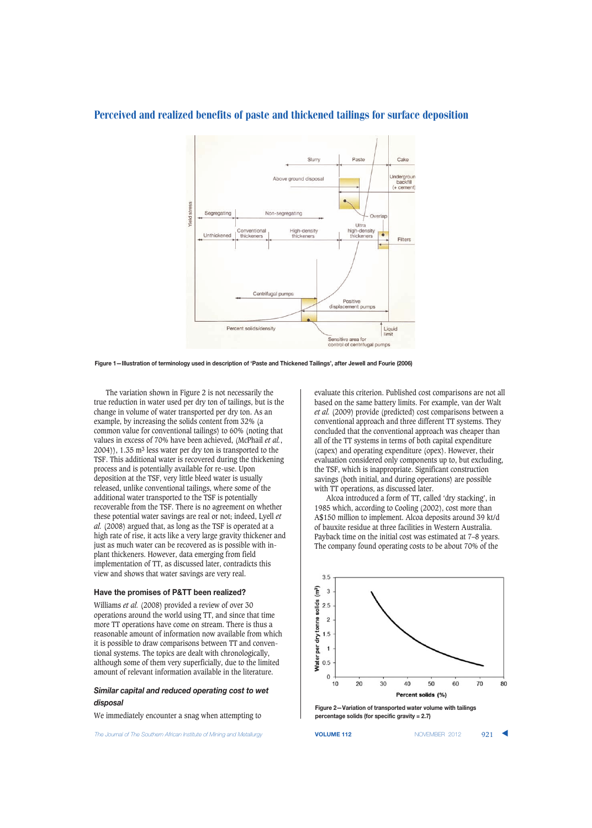

**Figure 1—Illustration of terminology used in description of 'Paste and Thickened Tailings', after Jewell and Fourie (2006)**

The variation shown in Figure 2 is not necessarily the true reduction in water used per dry ton of tailings, but is the change in volume of water transported per dry ton. As an example, by increasing the solids content from 32% (a common value for conventional tailings) to 60% (noting that values in excess of 70% have been achieved, (McPhail *et al.*, 2004)), 1.35 m3 less water per dry ton is transported to the TSF. This additional water is recovered during the thickening process and is potentially available for re-use. Upon deposition at the TSF, very little bleed water is usually released, unlike conventional tailings, where some of the additional water transported to the TSF is potentially recoverable from the TSF. There is no agreement on whether these potential water savings are real or not; indeed, Lyell *et al.* (2008) argued that, as long as the TSF is operated at a high rate of rise, it acts like a very large gravity thickener and just as much water can be recovered as is possible with inplant thickeners. However, data emerging from field implementation of TT, as discussed later, contradicts this view and shows that water savings are very real.

### **Have the promises of P&TT been realized?**

Williams *et al.* (2008) provided a review of over 30 operations around the world using TT, and since that time more TT operations have come on stream. There is thus a reasonable amount of information now available from which it is possible to draw comparisons between TT and conventional systems. The topics are dealt with chronologically, although some of them very superficially, due to the limited amount of relevant information available in the literature.

# *Similar capital and reduced operating cost to wet disposal*

We immediately encounter a snag when attempting to

**The Journal of The Southern African Institute of Mining and Metallurgy <b>VOLUME 112 VOLUME 112** NOVEMBER 2012 921

evaluate this criterion. Published cost comparisons are not all based on the same battery limits. For example, van der Walt *et al.* (2009) provide (predicted) cost comparisons between a conventional approach and three different TT systems. They concluded that the conventional approach was cheaper than all of the TT systems in terms of both capital expenditure (capex) and operating expenditure (opex). However, their evaluation considered only components up to, but excluding, the TSF, which is inappropriate. Significant construction savings (both initial, and during operations) are possible with TT operations, as discussed later.

Alcoa introduced a form of TT, called 'dry stacking', in 1985 which, according to Cooling (2002), cost more than A\$150 million to implement. Alcoa deposits around 39 kt/d of bauxite residue at three facilities in Western Australia. Payback time on the initial cost was estimated at 7–8 years. The company found operating costs to be about 70% of the



**Figure 2—Variation of transported water volume with tailings percentage solids (for specific gravity = 2.7)**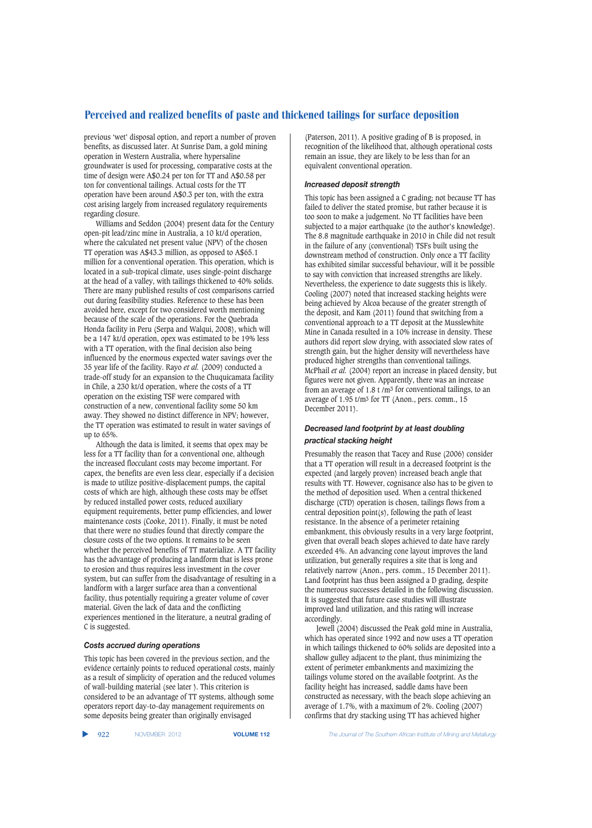previous 'wet' disposal option, and report a number of proven benefits, as discussed later. At Sunrise Dam, a gold mining operation in Western Australia, where hypersaline groundwater is used for processing, comparative costs at the time of design were A\$0.24 per ton for TT and A\$0.58 per ton for conventional tailings. Actual costs for the TT operation have been around A\$0.3 per ton, with the extra cost arising largely from increased regulatory requirements regarding closure.

Williams and Seddon (2004) present data for the Century open-pit lead/zinc mine in Australia, a 10 kt/d operation, where the calculated net present value (NPV) of the chosen TT operation was A\$43.3 million, as opposed to A\$65.1 million for a conventional operation. This operation, which is located in a sub-tropical climate, uses single-point discharge at the head of a valley, with tailings thickened to 40% solids. There are many published results of cost comparisons carried out during feasibility studies. Reference to these has been avoided here, except for two considered worth mentioning because of the scale of the operations. For the Quebrada Honda facility in Peru (Serpa and Walqui, 2008), which will be a 147 kt/d operation, opex was estimated to be 19% less with a TT operation, with the final decision also being influenced by the enormous expected water savings over the 35 year life of the facility. Rayo *et al.* (2009) conducted a trade-off study for an expansion to the Chuquicamata facility in Chile, a 230 kt/d operation, where the costs of a TT operation on the existing TSF were compared with construction of a new, conventional facility some 50 km away. They showed no distinct difference in NPV; however, the TT operation was estimated to result in water savings of up to 65%.

Although the data is limited, it seems that opex may be less for a TT facility than for a conventional one, although the increased flocculant costs may become important. For capex, the benefits are even less clear, especially if a decision is made to utilize positive-displacement pumps, the capital costs of which are high, although these costs may be offset by reduced installed power costs, reduced auxiliary equipment requirements, better pump efficiencies, and lower maintenance costs (Cooke, 2011). Finally, it must be noted that there were no studies found that directly compare the closure costs of the two options. It remains to be seen whether the perceived benefits of TT materialize. A TT facility has the advantage of producing a landform that is less prone to erosion and thus requires less investment in the cover system, but can suffer from the disadvantage of resulting in a landform with a larger surface area than a conventional facility, thus potentially requiring a greater volume of cover material. Given the lack of data and the conflicting experiences mentioned in the literature, a neutral grading of C is suggested.

#### *Costs accrued during operations*

This topic has been covered in the previous section, and the evidence certainly points to reduced operational costs, mainly as a result of simplicity of operation and the reduced volumes of wall-building material (see later ). This criterion is considered to be an advantage of TT systems, although some operators report day-to-day management requirements on some deposits being greater than originally envisaged

(Paterson, 2011). A positive grading of B is proposed, in recognition of the likelihood that, although operational costs remain an issue, they are likely to be less than for an equivalent conventional operation.

## *Increased deposit strength*

This topic has been assigned a C grading; not because TT has failed to deliver the stated promise, but rather because it is too soon to make a judgement. No TT facilities have been subjected to a major earthquake (to the author's knowledge). The 8.8 magnitude earthquake in 2010 in Chile did not result in the failure of any (conventional) TSFs built using the downstream method of construction. Only once a TT facility has exhibited similar successful behaviour, will it be possible to say with conviction that increased strengths are likely. Nevertheless, the experience to date suggests this is likely. Cooling (2007) noted that increased stacking heights were being achieved by Alcoa because of the greater strength of the deposit, and Kam (2011) found that switching from a conventional approach to a TT deposit at the Musslewhite Mine in Canada resulted in a 10% increase in density. These authors did report slow drying, with associated slow rates of strength gain, but the higher density will nevertheless have produced higher strengths than conventional tailings. McPhail *et al.* (2004) report an increase in placed density, but figures were not given. Apparently, there was an increase from an average of 1.8 t  $/m<sup>3</sup>$  for conventional tailings, to an average of 1.95 t/m3 for TT (Anon., pers. comm., 15 December 2011).

## *Decreased land footprint by at least doubling practical stacking height*

Presumably the reason that Tacey and Ruse (2006) consider that a TT operation will result in a decreased footprint is the expected (and largely proven) increased beach angle that results with TT. However, cognisance also has to be given to the method of deposition used. When a central thickened discharge (CTD) operation is chosen, tailings flows from a central deposition point(s), following the path of least resistance. In the absence of a perimeter retaining embankment, this obviously results in a very large footprint, given that overall beach slopes achieved to date have rarely exceeded 4%. An advancing cone layout improves the land utilization, but generally requires a site that is long and relatively narrow (Anon., pers. comm., 15 December 2011). Land footprint has thus been assigned a D grading, despite the numerous successes detailed in the following discussion. It is suggested that future case studies will illustrate improved land utilization, and this rating will increase accordingly.

Jewell (2004) discussed the Peak gold mine in Australia, which has operated since 1992 and now uses a TT operation in which tailings thickened to 60% solids are deposited into a shallow gulley adjacent to the plant, thus minimizing the extent of perimeter embankments and maximizing the tailings volume stored on the available footprint. As the facility height has increased, saddle dams have been constructed as necessary, with the beach slope achieving an average of 1.7%, with a maximum of 2%. Cooling (2007) confirms that dry stacking using TT has achieved higher

▲

922 NOVEMBER 2012 **VOLUME 112** *The Journal of The Southern African Institute of Mining and Metallurgy*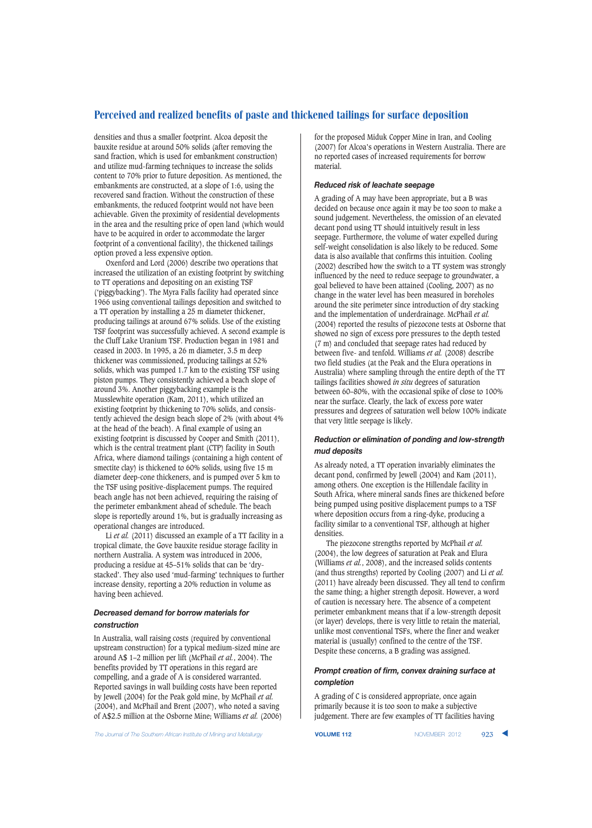densities and thus a smaller footprint. Alcoa deposit the bauxite residue at around 50% solids (after removing the sand fraction, which is used for embankment construction) and utilize mud-farming techniques to increase the solids content to 70% prior to future deposition. As mentioned, the embankments are constructed, at a slope of 1:6, using the recovered sand fraction. Without the construction of these embankments, the reduced footprint would not have been achievable. Given the proximity of residential developments in the area and the resulting price of open land (which would have to be acquired in order to accommodate the larger footprint of a conventional facility), the thickened tailings option proved a less expensive option.

Oxenford and Lord (2006) describe two operations that increased the utilization of an existing footprint by switching to TT operations and depositing on an existing TSF ('piggybacking'). The Myra Falls facility had operated since 1966 using conventional tailings deposition and switched to a TT operation by installing a 25 m diameter thickener, producing tailings at around 67% solids. Use of the existing TSF footprint was successfully achieved. A second example is the Cluff Lake Uranium TSF. Production began in 1981 and ceased in 2003. In 1995, a 26 m diameter, 3.5 m deep thickener was commissioned, producing tailings at 52% solids, which was pumped 1.7 km to the existing TSF using piston pumps. They consistently achieved a beach slope of around 3%. Another piggybacking example is the Musslewhite operation (Kam, 2011), which utilized an existing footprint by thickening to 70% solids, and consistently achieved the design beach slope of 2% (with about 4% at the head of the beach). A final example of using an existing footprint is discussed by Cooper and Smith (2011), which is the central treatment plant (CTP) facility in South Africa, where diamond tailings (containing a high content of smectite clay) is thickened to 60% solids, using five 15 m diameter deep-cone thickeners, and is pumped over 5 km to the TSF using positive-displacement pumps. The required beach angle has not been achieved, requiring the raising of the perimeter embankment ahead of schedule. The beach slope is reportedly around 1%, but is gradually increasing as operational changes are introduced.

Li *et al.* (2011) discussed an example of a TT facility in a tropical climate, the Gove bauxite residue storage facility in northern Australia. A system was introduced in 2006, producing a residue at 45–51% solids that can be 'drystacked'. They also used 'mud-farming' techniques to further increase density, reporting a 20% reduction in volume as having been achieved.

## *Decreased demand for borrow materials for construction*

In Australia, wall raising costs (required by conventional upstream construction) for a typical medium-sized mine are around A\$ 1–2 million per lift (McPhail *et al.*, 2004). The benefits provided by TT operations in this regard are compelling, and a grade of A is considered warranted. Reported savings in wall building costs have been reported by Jewell (2004) for the Peak gold mine, by McPhail *et al.* (2004), and McPhail and Brent (2007), who noted a saving of A\$2.5 million at the Osborne Mine; Williams *et al.* (2006) for the proposed Miduk Copper Mine in Iran, and Cooling (2007) for Alcoa's operations in Western Australia. There are no reported cases of increased requirements for borrow material.

## *Reduced risk of leachate seepage*

A grading of A may have been appropriate, but a B was decided on because once again it may be too soon to make a sound judgement. Nevertheless, the omission of an elevated decant pond using TT should intuitively result in less seepage. Furthermore, the volume of water expelled during self-weight consolidation is also likely to be reduced. Some data is also available that confirms this intuition. Cooling (2002) described how the switch to a TT system was strongly influenced by the need to reduce seepage to groundwater, a goal believed to have been attained (Cooling, 2007) as no change in the water level has been measured in boreholes around the site perimeter since introduction of dry stacking and the implementation of underdrainage. McPhail *et al.* (2004) reported the results of piezocone tests at Osborne that showed no sign of excess pore pressures to the depth tested (7 m) and concluded that seepage rates had reduced by between five- and tenfold. Williams *et al.* (2008) describe two field studies (at the Peak and the Elura operations in Australia) where sampling through the entire depth of the TT tailings facilities showed *in situ* degrees of saturation between 60–80%, with the occasional spike of close to 100% near the surface. Clearly, the lack of excess pore water pressures and degrees of saturation well below 100% indicate that very little seepage is likely.

# *Reduction or elimination of ponding and low-strength mud deposits*

As already noted, a TT operation invariably eliminates the decant pond, confirmed by Jewell (2004) and Kam (2011), among others. One exception is the Hillendale facility in South Africa, where mineral sands fines are thickened before being pumped using positive displacement pumps to a TSF where deposition occurs from a ring-dyke, producing a facility similar to a conventional TSF, although at higher densities.

The piezocone strengths reported by McPhail *et al.* (2004), the low degrees of saturation at Peak and Elura (Williams *et al.*, 2008), and the increased solids contents (and thus strengths) reported by Cooling (2007) and Li *et al.* (2011) have already been discussed. They all tend to confirm the same thing; a higher strength deposit. However, a word of caution is necessary here. The absence of a competent perimeter embankment means that if a low-strength deposit (or layer) develops, there is very little to retain the material, unlike most conventional TSFs, where the finer and weaker material is (usually) confined to the centre of the TSF. Despite these concerns, a B grading was assigned.

# *Prompt creation of firm, convex draining surface at completion*

A grading of C is considered appropriate, once again primarily because it is too soon to make a subjective judgement. There are few examples of TT facilities having

**The Journal of The Southern African Institute of Mining and Metallurgy <b>VOLUME 112 VOLUME 112** NOVEMBER 2012 923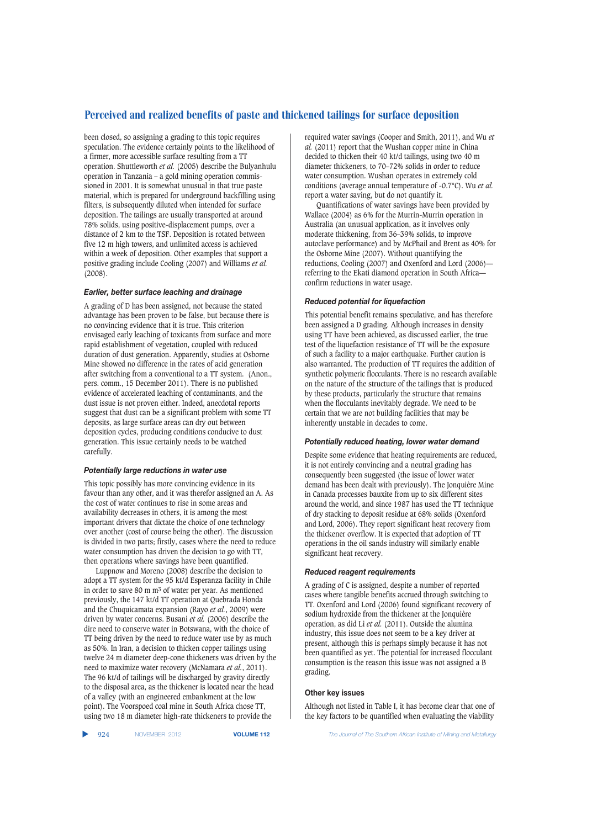been closed, so assigning a grading to this topic requires speculation. The evidence certainly points to the likelihood of a firmer, more accessible surface resulting from a TT operation. Shuttleworth *et al.* (2005) describe the Bulyanhulu operation in Tanzania – a gold mining operation commissioned in 2001. It is somewhat unusual in that true paste material, which is prepared for underground backfilling using filters, is subsequently diluted when intended for surface deposition. The tailings are usually transported at around 78% solids, using positive-displacement pumps, over a distance of 2 km to the TSF. Deposition is rotated between five 12 m high towers, and unlimited access is achieved within a week of deposition. Other examples that support a positive grading include Cooling (2007) and Williams *et al.* (2008).

## *Earlier, better surface leaching and drainage*

A grading of D has been assigned, not because the stated advantage has been proven to be false, but because there is no convincing evidence that it is true. This criterion envisaged early leaching of toxicants from surface and more rapid establishment of vegetation, coupled with reduced duration of dust generation. Apparently, studies at Osborne Mine showed no difference in the rates of acid generation after switching from a conventional to a TT system. (Anon., pers. comm., 15 December 2011). There is no published evidence of accelerated leaching of contaminants, and the dust issue is not proven either. Indeed, anecdotal reports suggest that dust can be a significant problem with some TT deposits, as large surface areas can dry out between deposition cycles, producing conditions conducive to dust generation. This issue certainly needs to be watched carefully.

### *Potentially large reductions in water use*

This topic possibly has more convincing evidence in its favour than any other, and it was therefor assigned an A. As the cost of water continues to rise in some areas and availability decreases in others, it is among the most important drivers that dictate the choice of one technology over another (cost of course being the other). The discussion is divided in two parts; firstly, cases where the need to reduce water consumption has driven the decision to go with TT, then operations where savings have been quantified.

Luppnow and Moreno (2008) describe the decision to adopt a TT system for the 95 kt/d Esperanza facility in Chile in order to save 80 m m3 of water per year. As mentioned previously, the 147 kt/d TT operation at Quebrada Honda and the Chuquicamata expansion (Rayo *et al.*, 2009) were driven by water concerns. Busani *et al.* (2006) describe the dire need to conserve water in Botswana, with the choice of TT being driven by the need to reduce water use by as much as 50%. In Iran, a decision to thicken copper tailings using twelve 24 m diameter deep-cone thickeners was driven by the need to maximize water recovery (McNamara *et al.*, 2011). The 96 kt/d of tailings will be discharged by gravity directly to the disposal area, as the thickener is located near the head of a valley (with an engineered embankment at the low point). The Voorspoed coal mine in South Africa chose TT, using two 18 m diameter high-rate thickeners to provide the

required water savings (Cooper and Smith, 2011), and Wu *et al.* (2011) report that the Wushan copper mine in China decided to thicken their 40 kt/d tailings, using two 40 m diameter thickeners, to 70–72% solids in order to reduce water consumption. Wushan operates in extremely cold conditions (average annual temperature of -0.7°C). Wu *et al.* report a water saving, but do not quantify it.

Quantifications of water savings have been provided by Wallace (2004) as 6% for the Murrin-Murrin operation in Australia (an unusual application, as it involves only moderate thickening, from 36–39% solids, to improve autoclave performance) and by McPhail and Brent as 40% for the Osborne Mine (2007). Without quantifying the reductions, Cooling (2007) and Oxenford and Lord (2006) referring to the Ekati diamond operation in South Africa confirm reductions in water usage.

## *Reduced potential for liquefaction*

This potential benefit remains speculative, and has therefore been assigned a D grading. Although increases in density using TT have been achieved, as discussed earlier, the true test of the liquefaction resistance of TT will be the exposure of such a facility to a major earthquake. Further caution is also warranted. The production of TT requires the addition of synthetic polymeric flocculants. There is no research available on the nature of the structure of the tailings that is produced by these products, particularly the structure that remains when the flocculants inevitably degrade. We need to be certain that we are not building facilities that may be inherently unstable in decades to come.

## *Potentially reduced heating, lower water demand*

Despite some evidence that heating requirements are reduced, it is not entirely convincing and a neutral grading has consequently been suggested (the issue of lower water demand has been dealt with previously). The Jonquière Mine in Canada processes bauxite from up to six different sites around the world, and since 1987 has used the TT technique of dry stacking to deposit residue at 68% solids (Oxenford and Lord, 2006). They report significant heat recovery from the thickener overflow. It is expected that adoption of TT operations in the oil sands industry will similarly enable significant heat recovery.

#### *Reduced reagent requirements*

A grading of C is assigned, despite a number of reported cases where tangible benefits accrued through switching to TT. Oxenford and Lord (2006) found significant recovery of sodium hydroxide from the thickener at the Jonquière operation, as did Li *et al.* (2011). Outside the alumina industry, this issue does not seem to be a key driver at present, although this is perhaps simply because it has not been quantified as yet. The potential for increased flocculant consumption is the reason this issue was not assigned a B grading.

#### **Other key issues**

Although not listed in Table I, it has become clear that one of the key factors to be quantified when evaluating the viability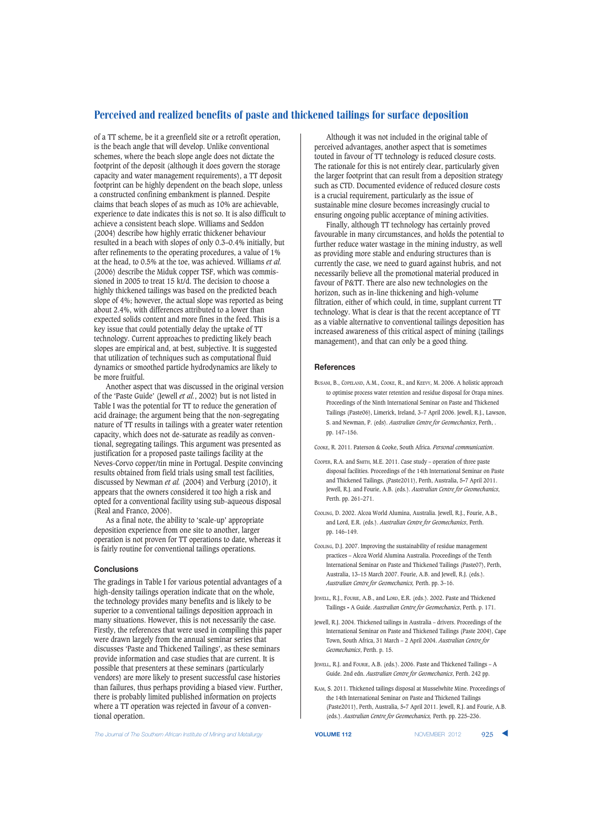of a TT scheme, be it a greenfield site or a retrofit operation, is the beach angle that will develop. Unlike conventional schemes, where the beach slope angle does not dictate the footprint of the deposit (although it does govern the storage capacity and water management requirements), a TT deposit footprint can be highly dependent on the beach slope, unless a constructed confining embankment is planned. Despite claims that beach slopes of as much as 10% are achievable, experience to date indicates this is not so. It is also difficult to achieve a consistent beach slope. Williams and Seddon (2004) describe how highly erratic thickener behaviour resulted in a beach with slopes of only 0.3–0.4% initially, but after refinements to the operating procedures, a value of 1% at the head, to 0.5% at the toe, was achieved. Williams *et al.* (2006) describe the Miduk copper TSF, which was commissioned in 2005 to treat 15 kt/d. The decision to choose a highly thickened tailings was based on the predicted beach slope of 4%; however, the actual slope was reported as being about 2.4%, with differences attributed to a lower than expected solids content and more fines in the feed. This is a key issue that could potentially delay the uptake of TT technology. Current approaches to predicting likely beach slopes are empirical and, at best, subjective. It is suggested that utilization of techniques such as computational fluid dynamics or smoothed particle hydrodynamics are likely to be more fruitful.

Another aspect that was discussed in the original version of the 'Paste Guide' (Jewell *et al.*, 2002) but is not listed in Table I was the potential for TT to reduce the generation of acid drainage; the argument being that the non-segregating nature of TT results in tailings with a greater water retention capacity, which does not de-saturate as readily as conventional, segregating tailings. This argument was presented as justification for a proposed paste tailings facility at the Neves-Corvo copper/tin mine in Portugal. Despite convincing results obtained from field trials using small test facilities, discussed by Newman *et al.* (2004) and Verburg (2010), it appears that the owners considered it too high a risk and opted for a conventional facility using sub-aqueous disposal (Real and Franco, 2006).

As a final note, the ability to 'scale-up' appropriate deposition experience from one site to another, larger operation is not proven for TT operations to date, whereas it is fairly routine for conventional tailings operations.

## **Conclusions**

The gradings in Table I for various potential advantages of a high-density tailings operation indicate that on the whole, the technology provides many benefits and is likely to be superior to a conventional tailings deposition approach in many situations. However, this is not necessarily the case. Firstly, the references that were used in compiling this paper were drawn largely from the annual seminar series that discusses 'Paste and Thickened Tailings', as these seminars provide information and case studies that are current. It is possible that presenters at these seminars (particularly vendors) are more likely to present successful case histories than failures, thus perhaps providing a biased view. Further, there is probably limited published information on projects where a TT operation was rejected in favour of a conventional operation.

Although it was not included in the original table of perceived advantages, another aspect that is sometimes touted in favour of TT technology is reduced closure costs. The rationale for this is not entirely clear, particularly given the larger footprint that can result from a deposition strategy such as CTD. Documented evidence of reduced closure costs is a crucial requirement, particularly as the issue of sustainable mine closure becomes increasingly crucial to ensuring ongoing public acceptance of mining activities.

Finally, although TT technology has certainly proved favourable in many circumstances, and holds the potential to further reduce water wastage in the mining industry, as well as providing more stable and enduring structures than is currently the case, we need to guard against hubris, and not necessarily believe all the promotional material produced in favour of P&TT. There are also new technologies on the horizon, such as in-line thickening and high-volume filtration, either of which could, in time, supplant current TT technology. What is clear is that the recent acceptance of TT as a viable alternative to conventional tailings deposition has increased awareness of this critical aspect of mining (tailings management), and that can only be a good thing.

#### **References**

BUSANI, B., COPELAND, A.M., COOKE, R., and KEEVY, M. 2006. A holistic approach to optimise process water retention and residue disposal for Orapa mines. Proceedings of the Ninth International Seminar on Paste and Thickened Tailings (Paste06), Limerick, Ireland, 3–7 April 2006. Jewell, R.J., Lawson, S. and Newman, P. (eds). *Australian Centre for Geomechanics*, Perth, . pp. 147–156.

COOKE, R. 2011. Paterson & Cooke, South Africa. *Personal communication*.

- COOPER, R.A. and SMITH, M.E. 2011. Case study operation of three paste disposal facilities. Proceedings of the 14th International Seminar on Paste and Thickened Tailings, (Paste2011), Perth, Australia, 5-7 April 2011. Jewell, R.J. and Fourie, A.B. (eds.). *Australian Centre for Geomechanics*, Perth. pp. 261–271.
- COOLING, D. 2002. Alcoa World Alumina, Australia. Jewell, R.J., Fourie, A.B., and Lord, E.R. (eds.). *Australian Centre for Geomechanics*, Perth. pp. 146–149.
- COOLING, D.J. 2007. Improving the sustainability of residue management practices – Alcoa World Alumina Australia. Proceedings of the Tenth International Seminar on Paste and Thickened Tailings (Paste07), Perth, Australia, 13–15 March 2007. Fourie, A.B. and Jewell, R.J. (eds.). *Australian Centre for Geomechanics,* Perth. pp. 3–16.
- JEWELL, R.J., FOURIE, A.B., and LORD, E.R. (eds.). 2002. Paste and Thickened Tailings - A Guide. *Australian Centre for Geomechanics*, Perth. p. 171.
- Jewell, R.J. 2004. Thickened tailings in Australia drivers. Proceedings of the International Seminar on Paste and Thickened Tailings (Paste 2004), Cape Town, South Africa, 31 March – 2 April 2004. *Australian Centre for Geomechanics*, Perth. p. 15.
- JEWELL, R.J. and FOURIE, A.B. (eds.). 2006. Paste and Thickened Tailings A Guide. 2nd edn. *Australian Centre for Geomechanics*, Perth. 242 pp.
- KAM, S. 2011. Thickened tailings disposal at Musselwhite Mine. Proceedings of the 14th International Seminar on Paste and Thickened Tailings (Paste2011), Perth, Australia, 5-7 April 2011. Jewell, R.J. and Fourie, A.B. (eds.). *Australian Centre for Geomechanics,* Perth. pp. 225–236.

**The Journal of The Southern African Institute of Mining and Metallurgy <b>VOLUME 112 VOLUME 112** NOVEMBER 2012 925